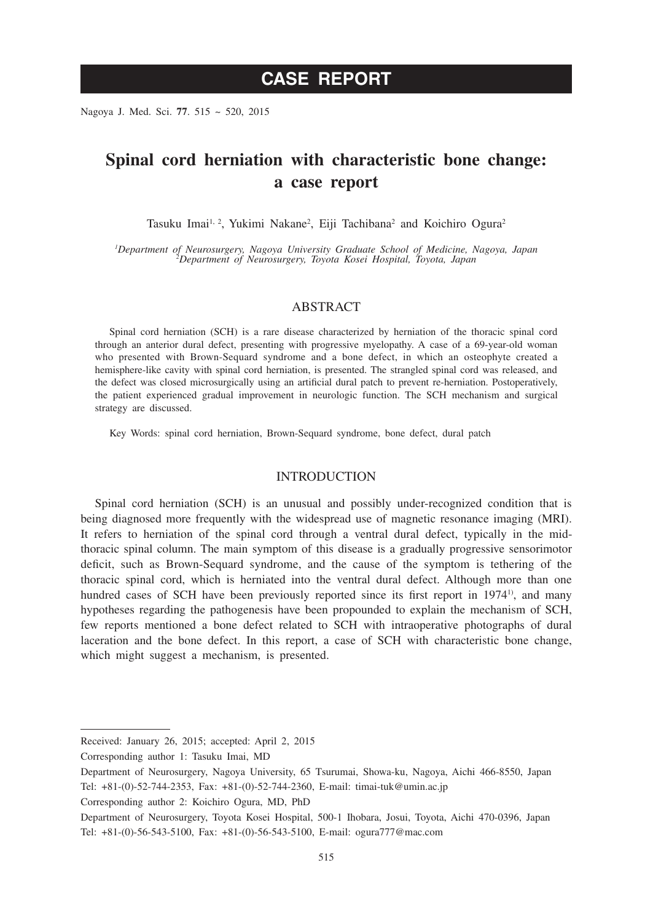Nagoya J. Med. Sci. **77**. 515 ~ 520, 2015

# **Spinal cord herniation with characteristic bone change: a case report**

Tasuku Imai<sup>1, 2</sup>, Yukimi Nakane<sup>2</sup>, Eiji Tachibana<sup>2</sup> and Koichiro Ogura<sup>2</sup>

*1 Department of Neurosurgery, Nagoya University Graduate School of Medicine, Nagoya, Japan <sup>2</sup> Department of Neurosurgery, Toyota Kosei Hospital, Toyota, Japan*

### ABSTRACT

Spinal cord herniation (SCH) is a rare disease characterized by herniation of the thoracic spinal cord through an anterior dural defect, presenting with progressive myelopathy. A case of a 69-year-old woman who presented with Brown-Sequard syndrome and a bone defect, in which an osteophyte created a hemisphere-like cavity with spinal cord herniation, is presented. The strangled spinal cord was released, and the defect was closed microsurgically using an artificial dural patch to prevent re-herniation. Postoperatively, the patient experienced gradual improvement in neurologic function. The SCH mechanism and surgical strategy are discussed.

Key Words: spinal cord herniation, Brown-Sequard syndrome, bone defect, dural patch

#### INTRODUCTION

Spinal cord herniation (SCH) is an unusual and possibly under-recognized condition that is being diagnosed more frequently with the widespread use of magnetic resonance imaging (MRI). It refers to herniation of the spinal cord through a ventral dural defect, typically in the midthoracic spinal column. The main symptom of this disease is a gradually progressive sensorimotor deficit, such as Brown-Sequard syndrome, and the cause of the symptom is tethering of the thoracic spinal cord, which is herniated into the ventral dural defect. Although more than one hundred cases of SCH have been previously reported since its first report in 1974<sup>1</sup>, and many hypotheses regarding the pathogenesis have been propounded to explain the mechanism of SCH, few reports mentioned a bone defect related to SCH with intraoperative photographs of dural laceration and the bone defect. In this report, a case of SCH with characteristic bone change, which might suggest a mechanism, is presented.

Received: January 26, 2015; accepted: April 2, 2015

Corresponding author 1: Tasuku Imai, MD

Department of Neurosurgery, Nagoya University, 65 Tsurumai, Showa-ku, Nagoya, Aichi 466-8550, Japan Tel: +81-(0)-52-744-2353, Fax: +81-(0)-52-744-2360, E-mail: timai-tuk@umin.ac.jp

Corresponding author 2: Koichiro Ogura, MD, PhD

Department of Neurosurgery, Toyota Kosei Hospital, 500-1 Ihobara, Josui, Toyota, Aichi 470-0396, Japan Tel: +81-(0)-56-543-5100, Fax: +81-(0)-56-543-5100, E-mail: ogura777@mac.com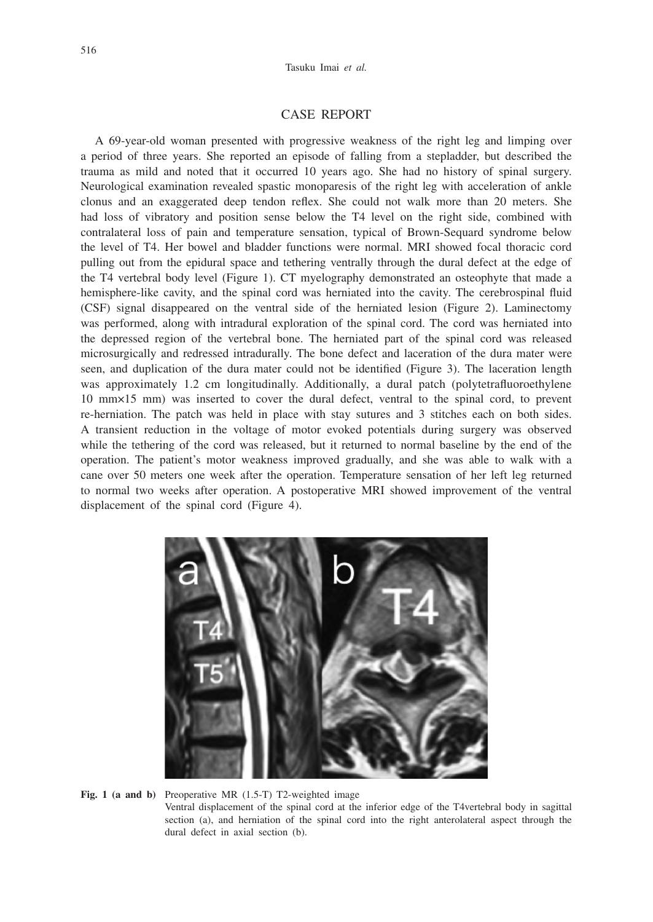#### CASE REPORT

A 69-year-old woman presented with progressive weakness of the right leg and limping over a period of three years. She reported an episode of falling from a stepladder, but described the trauma as mild and noted that it occurred 10 years ago. She had no history of spinal surgery. Neurological examination revealed spastic monoparesis of the right leg with acceleration of ankle clonus and an exaggerated deep tendon reflex. She could not walk more than 20 meters. She had loss of vibratory and position sense below the T4 level on the right side, combined with contralateral loss of pain and temperature sensation, typical of Brown-Sequard syndrome below the level of T4. Her bowel and bladder functions were normal. MRI showed focal thoracic cord pulling out from the epidural space and tethering ventrally through the dural defect at the edge of the T4 vertebral body level (Figure 1). CT myelography demonstrated an osteophyte that made a hemisphere-like cavity, and the spinal cord was herniated into the cavity. The cerebrospinal fluid (CSF) signal disappeared on the ventral side of the herniated lesion (Figure 2). Laminectomy was performed, along with intradural exploration of the spinal cord. The cord was herniated into the depressed region of the vertebral bone. The herniated part of the spinal cord was released microsurgically and redressed intradurally. The bone defect and laceration of the dura mater were seen, and duplication of the dura mater could not be identified (Figure 3). The laceration length was approximately 1.2 cm longitudinally. Additionally, a dural patch (polytetrafluoroethylene 10 mm×15 mm) was inserted to cover the dural defect, ventral to the spinal cord, to prevent re-herniation. The patch was held in place with stay sutures and 3 stitches each on both sides. A transient reduction in the voltage of motor evoked potentials during surgery was observed while the tethering of the cord was released, but it returned to normal baseline by the end of the operation. The patient's motor weakness improved gradually, and she was able to walk with a cane over 50 meters one week after the operation. Temperature sensation of her left leg returned to normal two weeks after operation. A postoperative MRI showed improvement of the ventral displacement of the spinal cord (Figure 4).



**Fig. 1 (a and b)** Preoperative MR (1.5-T) T2-weighted image Ventral displacement of the spinal cord at the inferior edge of the T4vertebral body in sagittal section (a), and herniation of the spinal cord into the right anterolateral aspect through the dural defect in axial section (b).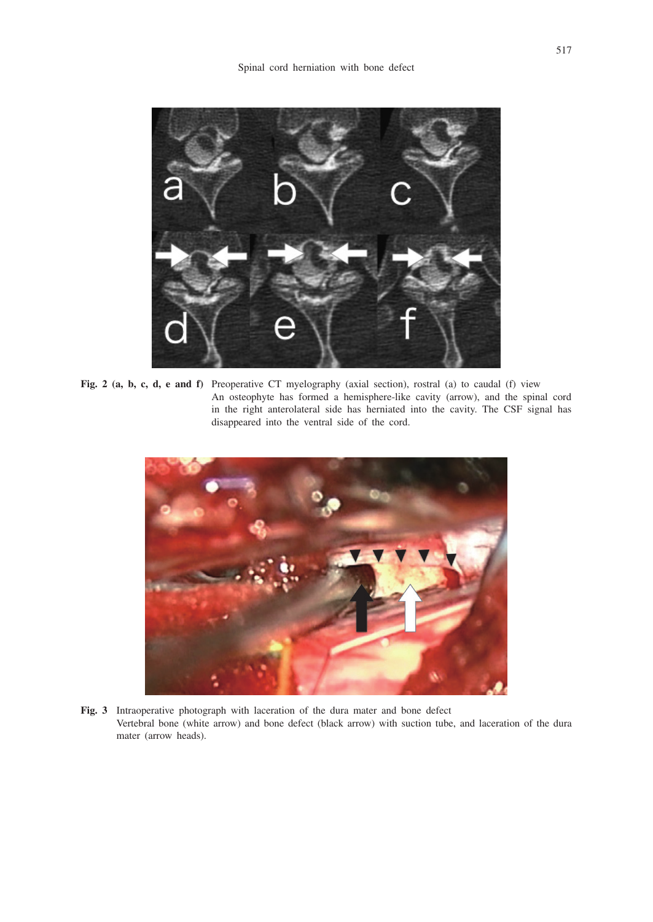

**Fig. 2 (a, b, c, d, e and f)** Preoperative CT myelography (axial section), rostral (a) to caudal (f) view An osteophyte has formed a hemisphere-like cavity (arrow), and the spinal cord in the right anterolateral side has herniated into the cavity. The CSF signal has disappeared into the ventral side of the cord.



**Fig. 3** Intraoperative photograph with laceration of the dura mater and bone defect Vertebral bone (white arrow) and bone defect (black arrow) with suction tube, and laceration of the dura mater (arrow heads).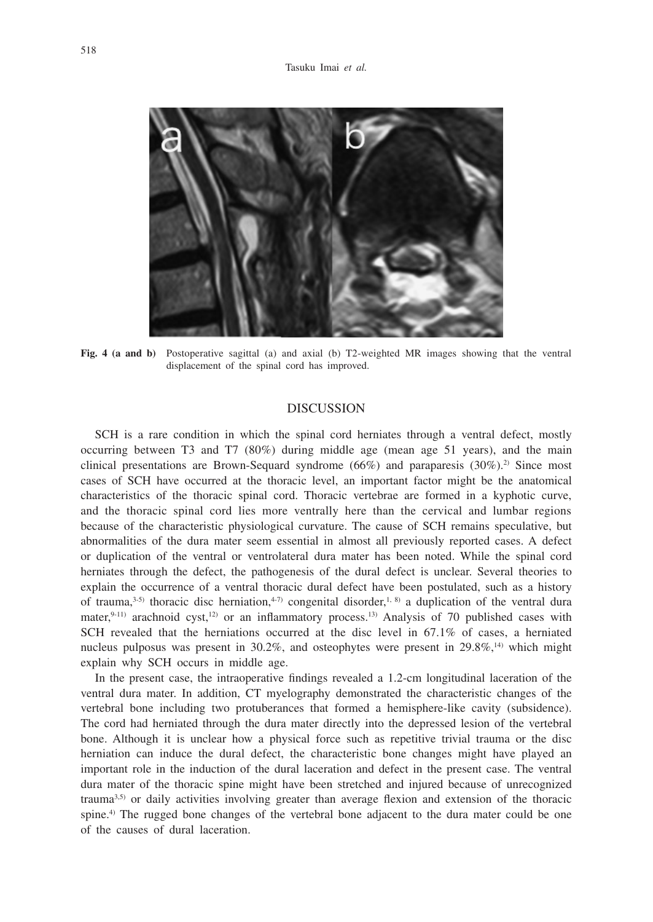

**Fig. 4 (a and b)** Postoperative sagittal (a) and axial (b) T2-weighted MR images showing that the ventral displacement of the spinal cord has improved.

## DISCUSSION

SCH is a rare condition in which the spinal cord herniates through a ventral defect, mostly occurring between T3 and T7 (80%) during middle age (mean age 51 years), and the main clinical presentations are Brown-Sequard syndrome  $(66%)$  and paraparesis  $(30%)$ .<sup>2)</sup> Since most cases of SCH have occurred at the thoracic level, an important factor might be the anatomical characteristics of the thoracic spinal cord. Thoracic vertebrae are formed in a kyphotic curve, and the thoracic spinal cord lies more ventrally here than the cervical and lumbar regions because of the characteristic physiological curvature. The cause of SCH remains speculative, but abnormalities of the dura mater seem essential in almost all previously reported cases. A defect or duplication of the ventral or ventrolateral dura mater has been noted. While the spinal cord herniates through the defect, the pathogenesis of the dural defect is unclear. Several theories to explain the occurrence of a ventral thoracic dural defect have been postulated, such as a history of trauma,<sup>3-5)</sup> thoracic disc herniation,<sup>4-7)</sup> congenital disorder,<sup>1, 8)</sup> a duplication of the ventral dura mater, $9-11$ ) arachnoid cyst, $12$ ) or an inflammatory process.<sup>13</sup> Analysis of 70 published cases with SCH revealed that the herniations occurred at the disc level in 67.1% of cases, a herniated nucleus pulposus was present in  $30.2\%$ , and osteophytes were present in  $29.8\%$ ,<sup>14)</sup> which might explain why SCH occurs in middle age.

In the present case, the intraoperative findings revealed a 1.2-cm longitudinal laceration of the ventral dura mater. In addition, CT myelography demonstrated the characteristic changes of the vertebral bone including two protuberances that formed a hemisphere-like cavity (subsidence). The cord had herniated through the dura mater directly into the depressed lesion of the vertebral bone. Although it is unclear how a physical force such as repetitive trivial trauma or the disc herniation can induce the dural defect, the characteristic bone changes might have played an important role in the induction of the dural laceration and defect in the present case. The ventral dura mater of the thoracic spine might have been stretched and injured because of unrecognized trauma3,5) or daily activities involving greater than average flexion and extension of the thoracic spine.<sup>4)</sup> The rugged bone changes of the vertebral bone adjacent to the dura mater could be one of the causes of dural laceration.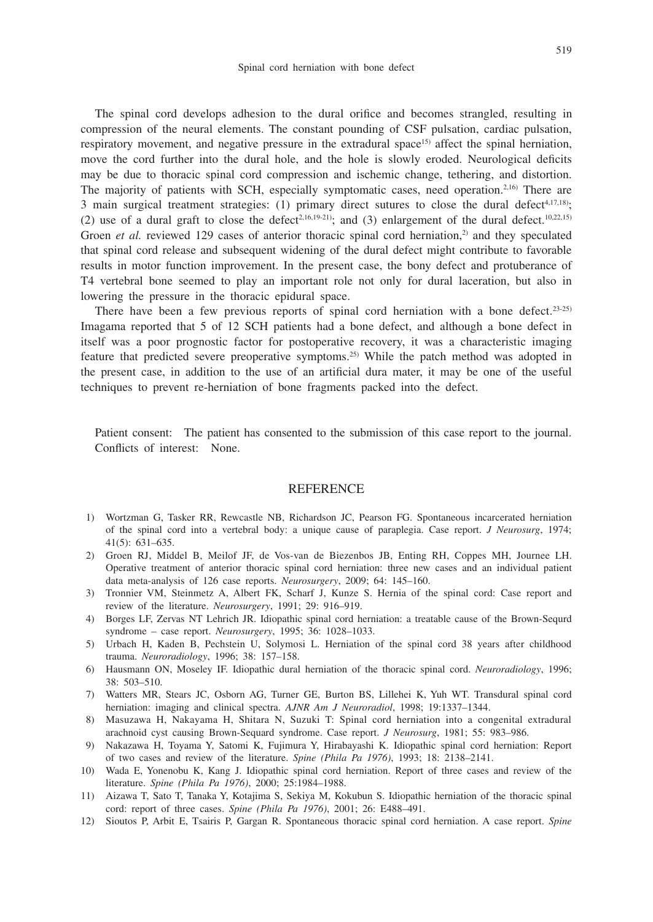The spinal cord develops adhesion to the dural orifice and becomes strangled, resulting in compression of the neural elements. The constant pounding of CSF pulsation, cardiac pulsation, respiratory movement, and negative pressure in the extradural space<sup>15)</sup> affect the spinal herniation, move the cord further into the dural hole, and the hole is slowly eroded. Neurological deficits may be due to thoracic spinal cord compression and ischemic change, tethering, and distortion. The majority of patients with SCH, especially symptomatic cases, need operation.<sup>2,16)</sup> There are 3 main surgical treatment strategies: (1) primary direct sutures to close the dural defect<sup>4,17,18)</sup>; (2) use of a dural graft to close the defect<sup>2,16,19-21)</sup>; and (3) enlargement of the dural defect.<sup>10,22,15)</sup> Groen *et al.* reviewed 129 cases of anterior thoracic spinal cord herniation,<sup>2)</sup> and they speculated that spinal cord release and subsequent widening of the dural defect might contribute to favorable results in motor function improvement. In the present case, the bony defect and protuberance of T4 vertebral bone seemed to play an important role not only for dural laceration, but also in lowering the pressure in the thoracic epidural space.

There have been a few previous reports of spinal cord herniation with a bone defect.<sup>23-25)</sup> Imagama reported that 5 of 12 SCH patients had a bone defect, and although a bone defect in itself was a poor prognostic factor for postoperative recovery, it was a characteristic imaging feature that predicted severe preoperative symptoms.25) While the patch method was adopted in the present case, in addition to the use of an artificial dura mater, it may be one of the useful techniques to prevent re-herniation of bone fragments packed into the defect.

Patient consent: The patient has consented to the submission of this case report to the journal. Conflicts of interest: None.

#### REFERENCE

- 1) Wortzman G, Tasker RR, Rewcastle NB, Richardson JC, Pearson FG. Spontaneous incarcerated herniation of the spinal cord into a vertebral body: a unique cause of paraplegia. Case report. *J Neurosurg*, 1974; 41(5): 631–635.
- 2) Groen RJ, Middel B, Meilof JF, de Vos-van de Biezenbos JB, Enting RH, Coppes MH, Journee LH. Operative treatment of anterior thoracic spinal cord herniation: three new cases and an individual patient data meta-analysis of 126 case reports. *Neurosurgery*, 2009; 64: 145–160.
- 3) Tronnier VM, Steinmetz A, Albert FK, Scharf J, Kunze S. Hernia of the spinal cord: Case report and review of the literature. *Neurosurgery*, 1991; 29: 916–919.
- 4) Borges LF, Zervas NT Lehrich JR. Idiopathic spinal cord herniation: a treatable cause of the Brown-Sequrd syndrome – case report. *Neurosurgery*, 1995; 36: 1028–1033.
- 5) Urbach H, Kaden B, Pechstein U, Solymosi L. Herniation of the spinal cord 38 years after childhood trauma. *Neuroradiology*, 1996; 38: 157–158.
- 6) Hausmann ON, Moseley IF. Idiopathic dural herniation of the thoracic spinal cord. *Neuroradiology*, 1996; 38: 503–510.
- 7) Watters MR, Stears JC, Osborn AG, Turner GE, Burton BS, Lillehei K, Yuh WT. Transdural spinal cord herniation: imaging and clinical spectra. *AJNR Am J Neuroradiol*, 1998; 19:1337–1344.
- 8) Masuzawa H, Nakayama H, Shitara N, Suzuki T: Spinal cord herniation into a congenital extradural arachnoid cyst causing Brown-Sequard syndrome. Case report. *J Neurosurg*, 1981; 55: 983–986.
- 9) Nakazawa H, Toyama Y, Satomi K, Fujimura Y, Hirabayashi K. Idiopathic spinal cord herniation: Report of two cases and review of the literature. *Spine (Phila Pa 1976)*, 1993; 18: 2138–2141.
- 10) Wada E, Yonenobu K, Kang J. Idiopathic spinal cord herniation. Report of three cases and review of the literature. *Spine (Phila Pa 1976)*, 2000; 25:1984–1988.
- 11) Aizawa T, Sato T, Tanaka Y, Kotajima S, Sekiya M, Kokubun S. Idiopathic herniation of the thoracic spinal cord: report of three cases. *Spine (Phila Pa 1976)*, 2001; 26: E488–491.
- 12) Sioutos P, Arbit E, Tsairis P, Gargan R. Spontaneous thoracic spinal cord herniation. A case report. *Spine*